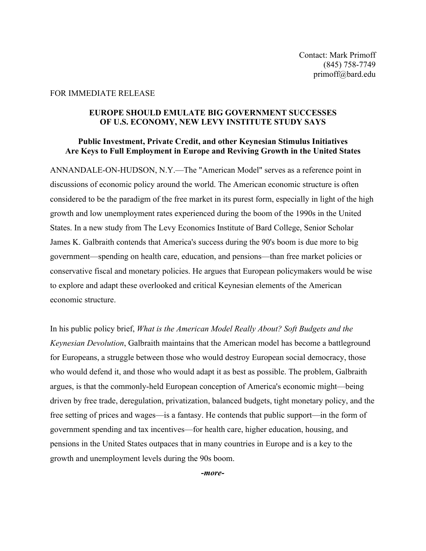## FOR IMMEDIATE RELEASE

## **EUROPE SHOULD EMULATE BIG GOVERNMENT SUCCESSES OF U.S. ECONOMY, NEW LEVY INSTITUTE STUDY SAYS**

## **Public Investment, Private Credit, and other Keynesian Stimulus Initiatives Are Keys to Full Employment in Europe and Reviving Growth in the United States**

ANNANDALE-ON-HUDSON, N.Y.—The "American Model" serves as a reference point in discussions of economic policy around the world. The American economic structure is often considered to be the paradigm of the free market in its purest form, especially in light of the high growth and low unemployment rates experienced during the boom of the 1990s in the United States. In a new study from The Levy Economics Institute of Bard College, Senior Scholar James K. Galbraith contends that America's success during the 90's boom is due more to big government—spending on health care, education, and pensions—than free market policies or conservative fiscal and monetary policies. He argues that European policymakers would be wise to explore and adapt these overlooked and critical Keynesian elements of the American economic structure.

In his public policy brief, *What is the American Model Really About? Soft Budgets and the Keynesian Devolution*, Galbraith maintains that the American model has become a battleground for Europeans, a struggle between those who would destroy European social democracy, those who would defend it, and those who would adapt it as best as possible. The problem, Galbraith argues, is that the commonly-held European conception of America's economic might—being driven by free trade, deregulation, privatization, balanced budgets, tight monetary policy, and the free setting of prices and wages—is a fantasy. He contends that public support—in the form of government spending and tax incentives—for health care, higher education, housing, and pensions in the United States outpaces that in many countries in Europe and is a key to the growth and unemployment levels during the 90s boom.

*-more-*